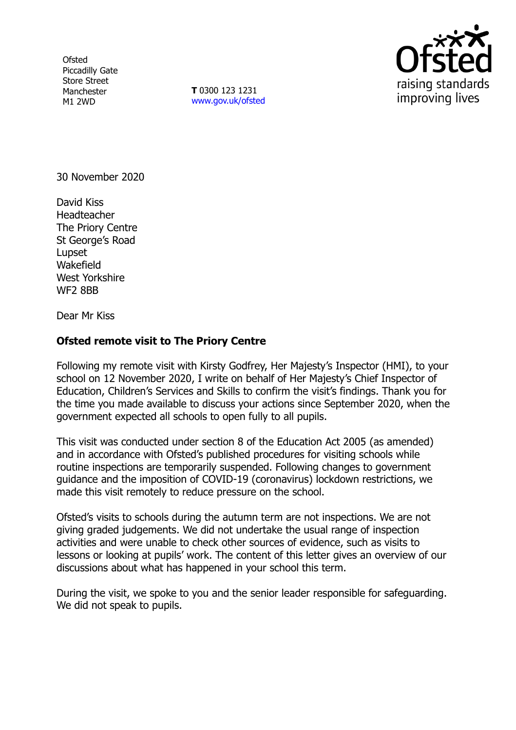**Ofsted** Piccadilly Gate Store Street Manchester M1 2WD

**T** 0300 123 1231 [www.gov.uk/ofsted](http://www.gov.uk/ofsted)



30 November 2020

David Kiss Headteacher The Priory Centre St George's Road Lupset Wakefield West Yorkshire WF<sub>2</sub> 8BB

Dear Mr Kiss

## **Ofsted remote visit to The Priory Centre**

Following my remote visit with Kirsty Godfrey, Her Majesty's Inspector (HMI), to your school on 12 November 2020, I write on behalf of Her Majesty's Chief Inspector of Education, Children's Services and Skills to confirm the visit's findings. Thank you for the time you made available to discuss your actions since September 2020, when the government expected all schools to open fully to all pupils.

This visit was conducted under section 8 of the Education Act 2005 (as amended) and in accordance with Ofsted's published procedures for visiting schools while routine inspections are temporarily suspended. Following changes to government guidance and the imposition of COVID-19 (coronavirus) lockdown restrictions, we made this visit remotely to reduce pressure on the school.

Ofsted's visits to schools during the autumn term are not inspections. We are not giving graded judgements. We did not undertake the usual range of inspection activities and were unable to check other sources of evidence, such as visits to lessons or looking at pupils' work. The content of this letter gives an overview of our discussions about what has happened in your school this term.

During the visit, we spoke to you and the senior leader responsible for safeguarding. We did not speak to pupils.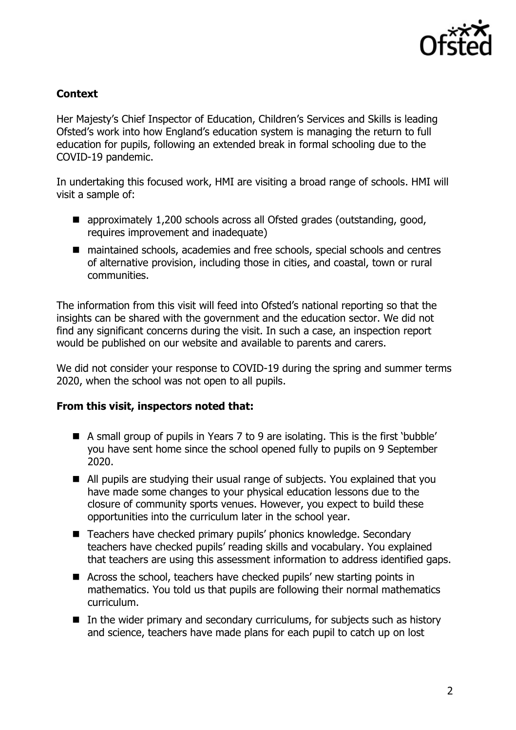

## **Context**

Her Majesty's Chief Inspector of Education, Children's Services and Skills is leading Ofsted's work into how England's education system is managing the return to full education for pupils, following an extended break in formal schooling due to the COVID-19 pandemic.

In undertaking this focused work, HMI are visiting a broad range of schools. HMI will visit a sample of:

- approximately 1,200 schools across all Ofsted grades (outstanding, good, requires improvement and inadequate)
- maintained schools, academies and free schools, special schools and centres of alternative provision, including those in cities, and coastal, town or rural communities.

The information from this visit will feed into Ofsted's national reporting so that the insights can be shared with the government and the education sector. We did not find any significant concerns during the visit. In such a case, an inspection report would be published on our website and available to parents and carers.

We did not consider your response to COVID-19 during the spring and summer terms 2020, when the school was not open to all pupils.

## **From this visit, inspectors noted that:**

- A small group of pupils in Years 7 to 9 are isolating. This is the first 'bubble' you have sent home since the school opened fully to pupils on 9 September 2020.
- All pupils are studying their usual range of subjects. You explained that you have made some changes to your physical education lessons due to the closure of community sports venues. However, you expect to build these opportunities into the curriculum later in the school year.
- Teachers have checked primary pupils' phonics knowledge. Secondary teachers have checked pupils' reading skills and vocabulary. You explained that teachers are using this assessment information to address identified gaps.
- Across the school, teachers have checked pupils' new starting points in mathematics. You told us that pupils are following their normal mathematics curriculum.
- $\blacksquare$  In the wider primary and secondary curriculums, for subjects such as history and science, teachers have made plans for each pupil to catch up on lost